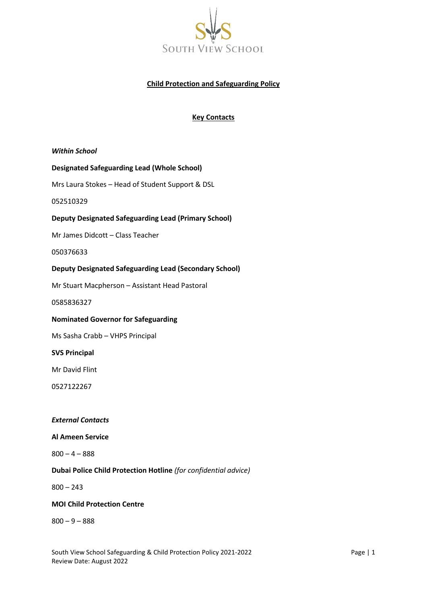

## **Child Protection and Safeguarding Policy**

### **Key Contacts**

*Within School*

#### **Designated Safeguarding Lead (Whole School)**

Mrs Laura Stokes – Head of Student Support & DSL

052510329

#### **Deputy Designated Safeguarding Lead (Primary School)**

Mr James Didcott – Class Teacher

050376633

#### **Deputy Designated Safeguarding Lead (Secondary School)**

Mr Stuart Macpherson – Assistant Head Pastoral

0585836327

#### **Nominated Governor for Safeguarding**

Ms Sasha Crabb – VHPS Principal

#### **SVS Principal**

Mr David Flint

0527122267

#### *External Contacts*

#### **Al Ameen Service**

 $800 - 4 - 888$ 

### **Dubai Police Child Protection Hotline** *(for confidential advice)*

 $800 - 243$ 

### **MOI Child Protection Centre**

 $800 - 9 - 888$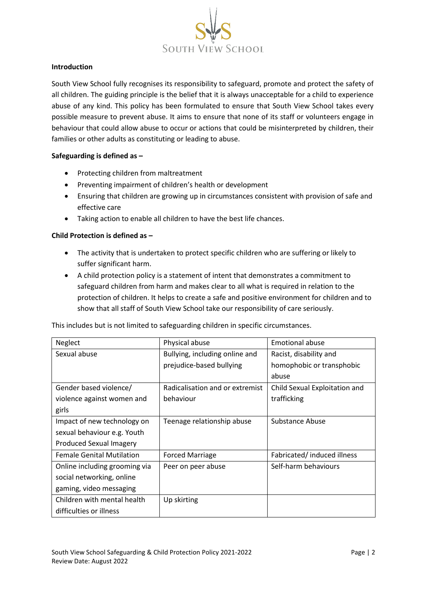

### **Introduction**

South View School fully recognises its responsibility to safeguard, promote and protect the safety of all children. The guiding principle is the belief that it is always unacceptable for a child to experience abuse of any kind. This policy has been formulated to ensure that South View School takes every possible measure to prevent abuse. It aims to ensure that none of its staff or volunteers engage in behaviour that could allow abuse to occur or actions that could be misinterpreted by children, their families or other adults as constituting or leading to abuse.

### **Safeguarding is defined as –**

- Protecting children from maltreatment
- Preventing impairment of children's health or development
- Ensuring that children are growing up in circumstances consistent with provision of safe and effective care
- Taking action to enable all children to have the best life chances.

### **Child Protection is defined as –**

- The activity that is undertaken to protect specific children who are suffering or likely to suffer significant harm.
- A child protection policy is a statement of intent that demonstrates a commitment to safeguard children from harm and makes clear to all what is required in relation to the protection of children. It helps to create a safe and positive environment for children and to show that all staff of South View School take our responsibility of care seriously.

This includes but is not limited to safeguarding children in specific circumstances.

| Neglect                          | Physical abuse                  | <b>Emotional abuse</b>        |
|----------------------------------|---------------------------------|-------------------------------|
| Sexual abuse                     | Bullying, including online and  | Racist, disability and        |
|                                  | prejudice-based bullying        | homophobic or transphobic     |
|                                  |                                 | abuse                         |
| Gender based violence/           | Radicalisation and or extremist | Child Sexual Exploitation and |
| violence against women and       | behaviour                       | trafficking                   |
| girls                            |                                 |                               |
| Impact of new technology on      | Teenage relationship abuse      | Substance Abuse               |
| sexual behaviour e.g. Youth      |                                 |                               |
| <b>Produced Sexual Imagery</b>   |                                 |                               |
| <b>Female Genital Mutilation</b> | <b>Forced Marriage</b>          | Fabricated/induced illness    |
| Online including grooming via    | Peer on peer abuse              | Self-harm behaviours          |
| social networking, online        |                                 |                               |
| gaming, video messaging          |                                 |                               |
| Children with mental health      | Up skirting                     |                               |
| difficulties or illness          |                                 |                               |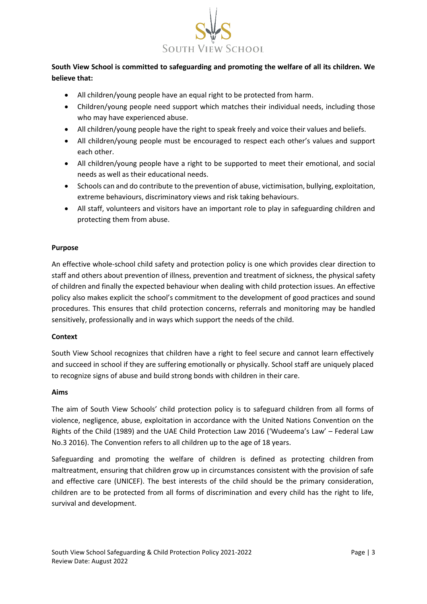

# **South View School is committed to safeguarding and promoting the welfare of all its children. We believe that:**

- All children/young people have an equal right to be protected from harm.
- Children/young people need support which matches their individual needs, including those who may have experienced abuse.
- All children/young people have the right to speak freely and voice their values and beliefs.
- All children/young people must be encouraged to respect each other's values and support each other.
- All children/young people have a right to be supported to meet their emotional, and social needs as well as their educational needs.
- Schools can and do contribute to the prevention of abuse, victimisation, bullying, exploitation, extreme behaviours, discriminatory views and risk taking behaviours.
- All staff, volunteers and visitors have an important role to play in safeguarding children and protecting them from abuse.

### **Purpose**

An effective whole-school child safety and protection policy is one which provides clear direction to staff and others about prevention of illness, prevention and treatment of sickness, the physical safety of children and finally the expected behaviour when dealing with child protection issues. An effective policy also makes explicit the school's commitment to the development of good practices and sound procedures. This ensures that child protection concerns, referrals and monitoring may be handled sensitively, professionally and in ways which support the needs of the child.

### **Context**

South View School recognizes that children have a right to feel secure and cannot learn effectively and succeed in school if they are suffering emotionally or physically. School staff are uniquely placed to recognize signs of abuse and build strong bonds with children in their care.

### **Aims**

The aim of South View Schools' child protection policy is to safeguard children from all forms of violence, negligence, abuse, exploitation in accordance with the United Nations Convention on the Rights of the Child (1989) and the UAE Child Protection Law 2016 ('Wudeema's Law' – Federal Law No.3 2016). The Convention refers to all children up to the age of 18 years.

Safeguarding and promoting the welfare of children is defined as protecting children from maltreatment, ensuring that children grow up in circumstances consistent with the provision of safe and effective care (UNICEF). The best interests of the child should be the primary consideration, children are to be protected from all forms of discrimination and every child has the right to life, survival and development.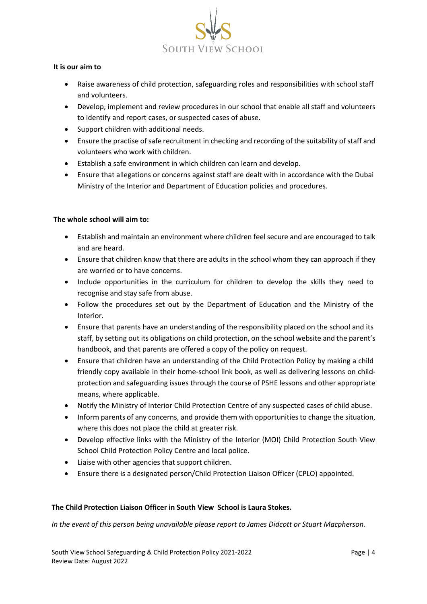

### **It is our aim to**

- Raise awareness of child protection, safeguarding roles and responsibilities with school staff and volunteers.
- Develop, implement and review procedures in our school that enable all staff and volunteers to identify and report cases, or suspected cases of abuse.
- Support children with additional needs.
- Ensure the practise of safe recruitment in checking and recording of the suitability of staff and volunteers who work with children.
- Establish a safe environment in which children can learn and develop.
- Ensure that allegations or concerns against staff are dealt with in accordance with the Dubai Ministry of the Interior and Department of Education policies and procedures.

### **The whole school will aim to:**

- Establish and maintain an environment where children feel secure and are encouraged to talk and are heard.
- Ensure that children know that there are adults in the school whom they can approach if they are worried or to have concerns.
- Include opportunities in the curriculum for children to develop the skills they need to recognise and stay safe from abuse.
- Follow the procedures set out by the Department of Education and the Ministry of the Interior.
- Ensure that parents have an understanding of the responsibility placed on the school and its staff, by setting out its obligations on child protection, on the school website and the parent's handbook, and that parents are offered a copy of the policy on request.
- Ensure that children have an understanding of the Child Protection Policy by making a child friendly copy available in their home-school link book, as well as delivering lessons on childprotection and safeguarding issues through the course of PSHE lessons and other appropriate means, where applicable.
- Notify the Ministry of Interior Child Protection Centre of any suspected cases of child abuse.
- Inform parents of any concerns, and provide them with opportunities to change the situation, where this does not place the child at greater risk.
- Develop effective links with the Ministry of the Interior (MOI) Child Protection South View School Child Protection Policy Centre and local police.
- Liaise with other agencies that support children.
- Ensure there is a designated person/Child Protection Liaison Officer (CPLO) appointed.

### **The Child Protection Liaison Officer in South View School is Laura Stokes.**

*In the event of this person being unavailable please report to James Didcott or Stuart Macpherson.*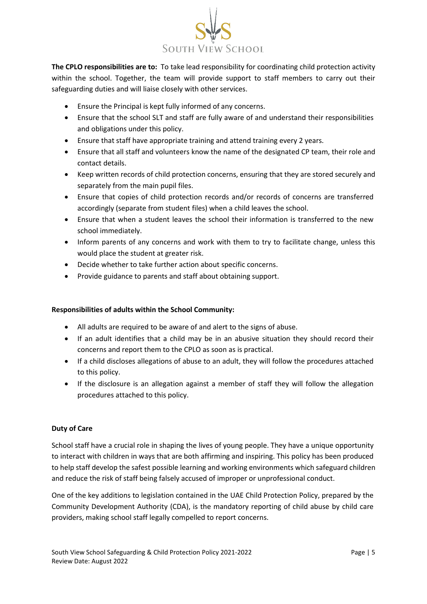

**The CPLO responsibilities are to:** To take lead responsibility for coordinating child protection activity within the school. Together, the team will provide support to staff members to carry out their safeguarding duties and will liaise closely with other services.

- Ensure the Principal is kept fully informed of any concerns.
- Ensure that the school SLT and staff are fully aware of and understand their responsibilities and obligations under this policy.
- Ensure that staff have appropriate training and attend training every 2 years.
- Ensure that all staff and volunteers know the name of the designated CP team, their role and contact details.
- Keep written records of child protection concerns, ensuring that they are stored securely and separately from the main pupil files.
- Ensure that copies of child protection records and/or records of concerns are transferred accordingly (separate from student files) when a child leaves the school.
- Ensure that when a student leaves the school their information is transferred to the new school immediately.
- Inform parents of any concerns and work with them to try to facilitate change, unless this would place the student at greater risk.
- Decide whether to take further action about specific concerns.
- Provide guidance to parents and staff about obtaining support.

## **Responsibilities of adults within the School Community:**

- All adults are required to be aware of and alert to the signs of abuse.
- If an adult identifies that a child may be in an abusive situation they should record their concerns and report them to the CPLO as soon as is practical.
- If a child discloses allegations of abuse to an adult, they will follow the procedures attached to this policy.
- If the disclosure is an allegation against a member of staff they will follow the allegation procedures attached to this policy.

## **Duty of Care**

School staff have a crucial role in shaping the lives of young people. They have a unique opportunity to interact with children in ways that are both affirming and inspiring. This policy has been produced to help staff develop the safest possible learning and working environments which safeguard children and reduce the risk of staff being falsely accused of improper or unprofessional conduct.

One of the key additions to legislation contained in the UAE Child Protection Policy, prepared by the Community Development Authority (CDA), is the mandatory reporting of child abuse by child care providers, making school staff legally compelled to report concerns.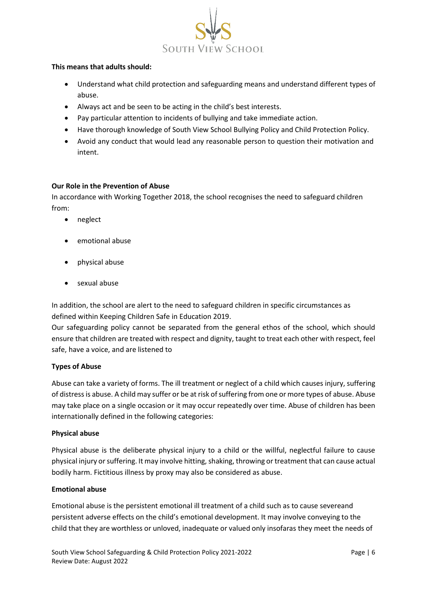

### **This means that adults should:**

- Understand what child protection and safeguarding means and understand different types of abuse.
- Always act and be seen to be acting in the child's best interests.
- Pay particular attention to incidents of bullying and take immediate action.
- Have thorough knowledge of South View School Bullying Policy and Child Protection Policy.
- Avoid any conduct that would lead any reasonable person to question their motivation and intent.

#### **Our Role in the Prevention of Abuse**

In accordance with Working Together 2018, the school recognises the need to safeguard children from:

- neglect
- emotional abuse
- physical abuse
- sexual abuse

In addition, the school are alert to the need to safeguard children in specific circumstances as defined within Keeping Children Safe in Education 2019.

Our safeguarding policy cannot be separated from the general ethos of the school, which should ensure that children are treated with respect and dignity, taught to treat each other with respect, feel safe, have a voice, and are listened to

### **Types of Abuse**

Abuse can take a variety of forms. The ill treatment or neglect of a child which causes injury, suffering of distress is abuse. A child may suffer or be at risk of suffering from one or more types of abuse. Abuse may take place on a single occasion or it may occur repeatedly over time. Abuse of children has been internationally defined in the following categories:

### **Physical abuse**

Physical abuse is the deliberate physical injury to a child or the willful, neglectful failure to cause physical injury or suffering. It may involve hitting, shaking, throwing or treatment that can cause actual bodily harm. Fictitious illness by proxy may also be considered as abuse.

### **Emotional abuse**

Emotional abuse is the persistent emotional ill treatment of a child such as to cause severeand persistent adverse effects on the child's emotional development. It may involve conveying to the child that they are worthless or unloved, inadequate or valued only insofaras they meet the needs of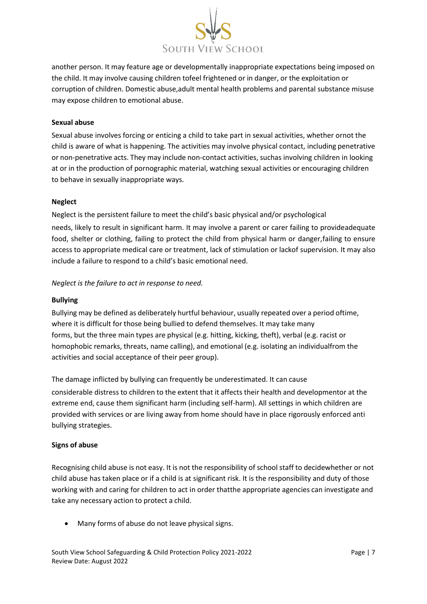

another person. It may feature age or developmentally inappropriate expectations being imposed on the child. It may involve causing children tofeel frightened or in danger, or the exploitation or corruption of children. Domestic abuse,adult mental health problems and parental substance misuse may expose children to emotional abuse.

#### **Sexual abuse**

Sexual abuse involves forcing or enticing a child to take part in sexual activities, whether ornot the child is aware of what is happening. The activities may involve physical contact, including penetrative or non-penetrative acts. They may include non-contact activities, suchas involving children in looking at or in the production of pornographic material, watching sexual activities or encouraging children to behave in sexually inappropriate ways.

#### **Neglect**

Neglect is the persistent failure to meet the child's basic physical and/or psychological

needs, likely to result in significant harm. It may involve a parent or carer failing to provideadequate food, shelter or clothing, failing to protect the child from physical harm or danger,failing to ensure access to appropriate medical care or treatment, lack of stimulation or lackof supervision. It may also include a failure to respond to a child's basic emotional need.

*Neglect is the failure to act in response to need.*

#### **Bullying**

Bullying may be defined as deliberately hurtful behaviour, usually repeated over a period oftime, where it is difficult for those being bullied to defend themselves. It may take many forms, but the three main types are physical (e.g. hitting, kicking, theft), verbal (e.g. racist or homophobic remarks, threats, name calling), and emotional (e.g. isolating an individualfrom the activities and social acceptance of their peer group).

The damage inflicted by bullying can frequently be underestimated. It can cause

considerable distress to children to the extent that it affects their health and developmentor at the extreme end, cause them significant harm (including self-harm). All settings in which children are provided with services or are living away from home should have in place rigorously enforced anti bullying strategies.

### **Signs of abuse**

Recognising child abuse is not easy. It is not the responsibility of school staff to decidewhether or not child abuse has taken place or if a child is at significant risk. It is the responsibility and duty of those working with and caring for children to act in order thatthe appropriate agencies can investigate and take any necessary action to protect a child.

• Many forms of abuse do not leave physical signs.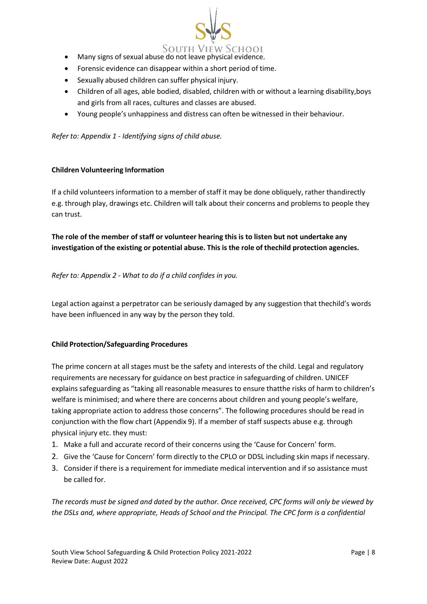

- Many signs of sexual abuse do not leave physical evidence.
- Forensic evidence can disappear within a short period of time.
- Sexually abused children can suffer physical injury.
- Children of all ages, able bodied, disabled, children with or without a learning disability,boys and girls from all races, cultures and classes are abused.
- Young people's unhappiness and distress can often be witnessed in their behaviour.

*Refer to: Appendix 1 - Identifying signs of child abuse.*

### **Children Volunteering Information**

If a child volunteers information to a member of staff it may be done obliquely, rather thandirectly e.g. through play, drawings etc. Children will talk about their concerns and problems to people they can trust.

**The role of the member of staff or volunteer hearing this is to listen but not undertake any investigation of the existing or potential abuse. This is the role of thechild protection agencies.**

*Refer to: Appendix 2 - What to do if a child confides in you.*

Legal action against a perpetrator can be seriously damaged by any suggestion that thechild's words have been influenced in any way by the person they told.

### **Child Protection/Safeguarding Procedures**

The prime concern at all stages must be the safety and interests of the child. Legal and regulatory requirements are necessary for guidance on best practice in safeguarding of children. UNICEF explains safeguarding as "taking all reasonable measures to ensure thatthe risks of harm to children's welfare is minimised; and where there are concerns about children and young people's welfare, taking appropriate action to address those concerns". The following procedures should be read in conjunction with the flow chart (Appendix 9). If a member of staff suspects abuse e.g. through physical injury etc. they must:

- 1. Make a full and accurate record of their concerns using the 'Cause for Concern' form.
- 2. Give the 'Cause for Concern' form directly to the CPLO or DDSL including skin maps if necessary.
- 3. Consider if there is a requirement for immediate medical intervention and if so assistance must be called for.

*The records must be signed and dated by the author. Once received, CPC forms will only be viewed by the DSLs and, where appropriate, Heads of School and the Principal. The CPC form is a confidential*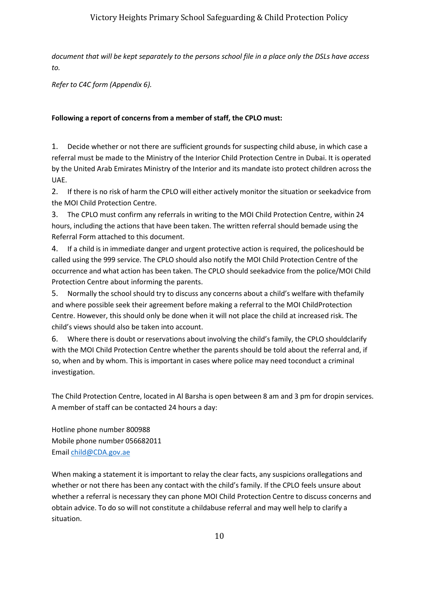# Victory Heights Primary School Safeguarding & Child Protection Policy

*document that will be kept separately to the persons school file in a place only the DSLs have access to.*

*Refer to C4C form (Appendix 6).*

### **Following a report of concerns from a member of staff, the CPLO must:**

1. Decide whether or not there are sufficient grounds for suspecting child abuse, in which case a referral must be made to the Ministry of the Interior Child Protection Centre in Dubai. It is operated by the United Arab Emirates Ministry of the Interior and its mandate isto protect children across the UAE.

2. If there is no risk of harm the CPLO will either actively monitor the situation or seekadvice from the MOI Child Protection Centre.

3. The CPLO must confirm any referrals in writing to the MOI Child Protection Centre, within 24 hours, including the actions that have been taken. The written referral should bemade using the Referral Form attached to this document.

4. If a child is in immediate danger and urgent protective action is required, the policeshould be called using the 999 service. The CPLO should also notify the MOI Child Protection Centre of the occurrence and what action has been taken. The CPLO should seekadvice from the police/MOI Child Protection Centre about informing the parents.

5. Normally the school should try to discuss any concerns about a child's welfare with thefamily and where possible seek their agreement before making a referral to the MOI ChildProtection Centre. However, this should only be done when it will not place the child at increased risk. The child's views should also be taken into account.

6. Where there is doubt or reservations about involving the child's family, the CPLO shouldclarify with the MOI Child Protection Centre whether the parents should be told about the referral and, if so, when and by whom. This is important in cases where police may need toconduct a criminal investigation.

The Child Protection Centre, located in Al Barsha is open between 8 am and 3 pm for dropin services. A member of staff can be contacted 24 hours a day:

Hotline phone number 800988 Mobile phone number 056682011 Email [child@CDA.gov.ae](mailto:child@CDA.gov.ae)

When making a statement it is important to relay the clear facts, any suspicions orallegations and whether or not there has been any contact with the child's family. If the CPLO feels unsure about whether a referral is necessary they can phone MOI Child Protection Centre to discuss concerns and obtain advice. To do so will not constitute a childabuse referral and may well help to clarify a situation.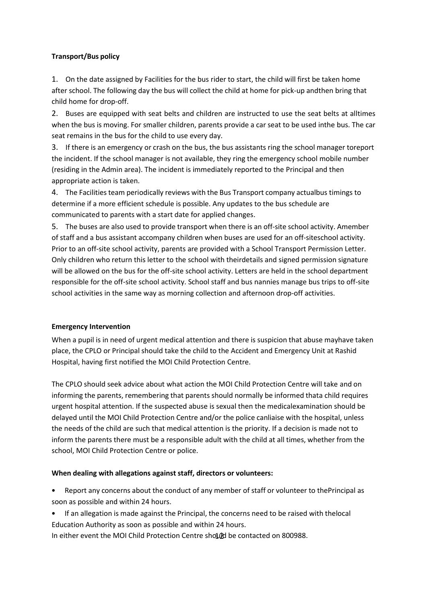## **Transport/Bus policy**

1. On the date assigned by Facilities for the bus rider to start, the child will first be taken home after school. The following day the bus will collect the child at home for pick-up andthen bring that child home for drop-off.

2. Buses are equipped with seat belts and children are instructed to use the seat belts at alltimes when the bus is moving. For smaller children, parents provide a car seat to be used inthe bus. The car seat remains in the bus for the child to use every day.

3. If there is an emergency or crash on the bus, the bus assistants ring the school manager toreport the incident. If the school manager is not available, they ring the emergency school mobile number (residing in the Admin area). The incident is immediately reported to the Principal and then appropriate action is taken.

4. The Facilities team periodically reviews with the Bus Transport company actualbus timings to determine if a more efficient schedule is possible. Any updates to the bus schedule are communicated to parents with a start date for applied changes.

5. The buses are also used to provide transport when there is an off-site school activity. Amember of staff and a bus assistant accompany children when buses are used for an off-siteschool activity. Prior to an off-site school activity, parents are provided with a School Transport Permission Letter. Only children who return this letter to the school with theirdetails and signed permission signature will be allowed on the bus for the off-site school activity. Letters are held in the school department responsible for the off-site school activity. School staff and bus nannies manage bus trips to off-site school activities in the same way as morning collection and afternoon drop-off activities.

### **Emergency Intervention**

When a pupil is in need of urgent medical attention and there is suspicion that abuse mayhave taken place, the CPLO or Principal should take the child to the Accident and Emergency Unit at Rashid Hospital, having first notified the MOI Child Protection Centre.

The CPLO should seek advice about what action the MOI Child Protection Centre will take and on informing the parents, remembering that parents should normally be informed thata child requires urgent hospital attention. If the suspected abuse is sexual then the medicalexamination should be delayed until the MOI Child Protection Centre and/or the police canliaise with the hospital, unless the needs of the child are such that medical attention is the priority. If a decision is made not to inform the parents there must be a responsible adult with the child at all times, whether from the school, MOI Child Protection Centre or police.

## **When dealing with allegations against staff, directors or volunteers:**

• Report any concerns about the conduct of any member of staff or volunteer to thePrincipal as soon as possible and within 24 hours.

• If an allegation is made against the Principal, the concerns need to be raised with thelocal Education Authority as soon as possible and within 24 hours.

In either event the MOI Child Protection Centre should be contacted on 800988.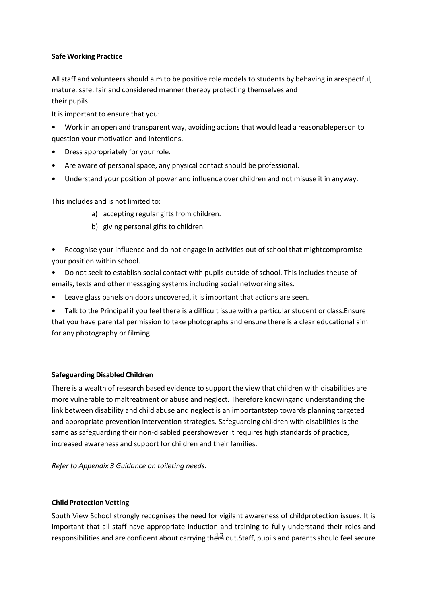### **Safe Working Practice**

All staff and volunteers should aim to be positive role models to students by behaving in arespectful, mature, safe, fair and considered manner thereby protecting themselves and their pupils.

It is important to ensure that you:

- Work in an open and transparent way, avoiding actions that would lead a reasonableperson to question your motivation and intentions.
- Dress appropriately for your role.
- Are aware of personal space, any physical contact should be professional.
- Understand your position of power and influence over children and not misuse it in anyway.

This includes and is not limited to:

- a) accepting regular gifts from children.
- b) giving personal gifts to children.
- Recognise your influence and do not engage in activities out of school that mightcompromise your position within school.
- Do not seek to establish social contact with pupils outside of school. This includes theuse of emails, texts and other messaging systems including social networking sites.
- Leave glass panels on doors uncovered, it is important that actions are seen.
- Talk to the Principal if you feel there is a difficult issue with a particular student or class.Ensure that you have parental permission to take photographs and ensure there is a clear educational aim for any photography or filming.

## **Safeguarding Disabled Children**

There is a wealth of research based evidence to support the view that children with disabilities are more vulnerable to maltreatment or abuse and neglect. Therefore knowingand understanding the link between disability and child abuse and neglect is an importantstep towards planning targeted and appropriate prevention intervention strategies. Safeguarding children with disabilities is the same as safeguarding their non-disabled peershowever it requires high standards of practice, increased awareness and support for children and their families.

*Refer to Appendix 3 Guidance on toileting needs.*

### **Child Protection Vetting**

responsibilities and are confident about carrying the मी out.Staff, pupils and parents should feel secure South View School strongly recognises the need for vigilant awareness of childprotection issues. It is important that all staff have appropriate induction and training to fully understand their roles and